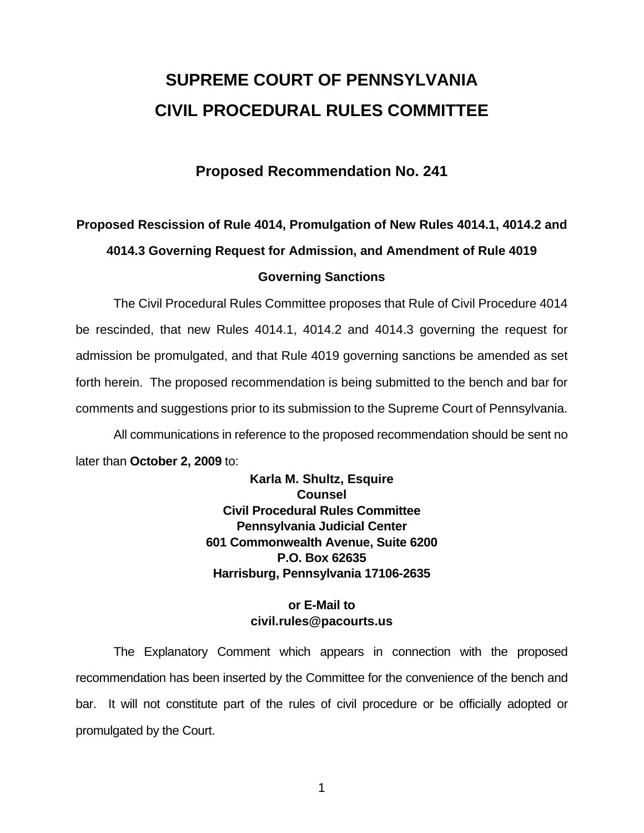# **SUPREME COURT OF PENNSYLVANIA CIVIL PROCEDURAL RULES COMMITTEE**

### **Proposed Recommendation No. 241**

# **Proposed Rescission of Rule 4014, Promulgation of New Rules 4014.1, 4014.2 and 4014.3 Governing Request for Admission, and Amendment of Rule 4019 Governing Sanctions**

 The Civil Procedural Rules Committee proposes that Rule of Civil Procedure 4014 be rescinded, that new Rules 4014.1, 4014.2 and 4014.3 governing the request for admission be promulgated, and that Rule 4019 governing sanctions be amended as set forth herein. The proposed recommendation is being submitted to the bench and bar for comments and suggestions prior to its submission to the Supreme Court of Pennsylvania.

 All communications in reference to the proposed recommendation should be sent no later than **October 2, 2009** to:

> **Karla M. Shultz, Esquire Counsel Civil Procedural Rules Committee Pennsylvania Judicial Center 601 Commonwealth Avenue, Suite 6200 P.O. Box 62635 Harrisburg, Pennsylvania 17106-2635**

### **or E-Mail to civil.rules@pacourts.us**

 The Explanatory Comment which appears in connection with the proposed recommendation has been inserted by the Committee for the convenience of the bench and bar. It will not constitute part of the rules of civil procedure or be officially adopted or promulgated by the Court.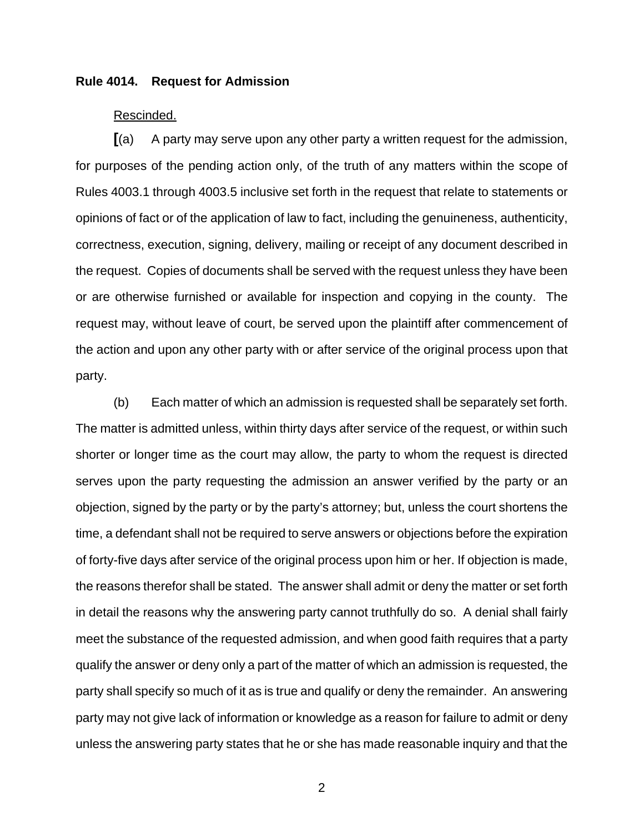### **Rule 4014. Request for Admission**

### Rescinded.

**[**(a) A party may serve upon any other party a written request for the admission, for purposes of the pending action only, of the truth of any matters within the scope of Rules 4003.1 through 4003.5 inclusive set forth in the request that relate to statements or opinions of fact or of the application of law to fact, including the genuineness, authenticity, correctness, execution, signing, delivery, mailing or receipt of any document described in the request. Copies of documents shall be served with the request unless they have been or are otherwise furnished or available for inspection and copying in the county. The request may, without leave of court, be served upon the plaintiff after commencement of the action and upon any other party with or after service of the original process upon that party.

 (b) Each matter of which an admission is requested shall be separately set forth. The matter is admitted unless, within thirty days after service of the request, or within such shorter or longer time as the court may allow, the party to whom the request is directed serves upon the party requesting the admission an answer verified by the party or an objection, signed by the party or by the party's attorney; but, unless the court shortens the time, a defendant shall not be required to serve answers or objections before the expiration of forty-five days after service of the original process upon him or her. If objection is made, the reasons therefor shall be stated. The answer shall admit or deny the matter or set forth in detail the reasons why the answering party cannot truthfully do so. A denial shall fairly meet the substance of the requested admission, and when good faith requires that a party qualify the answer or deny only a part of the matter of which an admission is requested, the party shall specify so much of it as is true and qualify or deny the remainder. An answering party may not give lack of information or knowledge as a reason for failure to admit or deny unless the answering party states that he or she has made reasonable inquiry and that the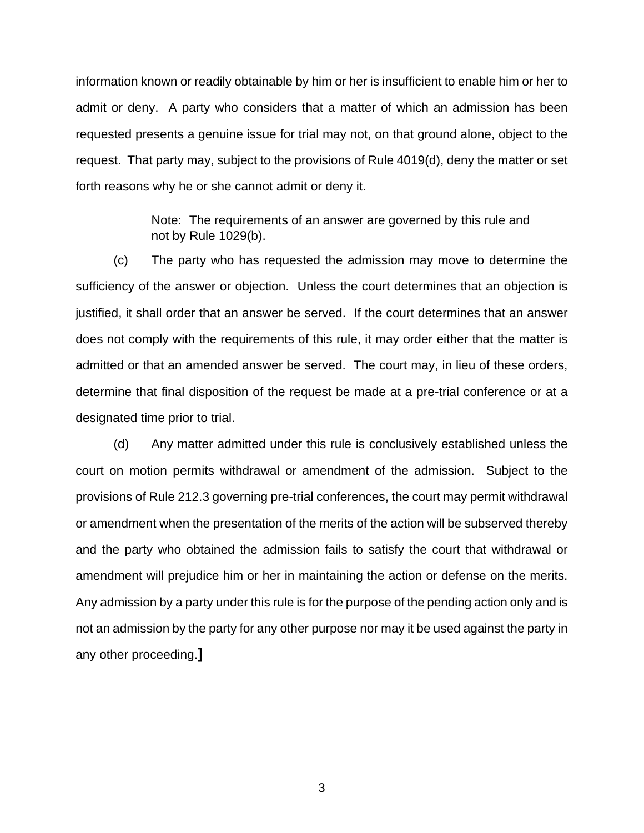information known or readily obtainable by him or her is insufficient to enable him or her to admit or deny. A party who considers that a matter of which an admission has been requested presents a genuine issue for trial may not, on that ground alone, object to the request. That party may, subject to the provisions of Rule 4019(d), deny the matter or set forth reasons why he or she cannot admit or deny it.

> Note: The requirements of an answer are governed by this rule and not by Rule 1029(b).

 (c) The party who has requested the admission may move to determine the sufficiency of the answer or objection. Unless the court determines that an objection is justified, it shall order that an answer be served. If the court determines that an answer does not comply with the requirements of this rule, it may order either that the matter is admitted or that an amended answer be served. The court may, in lieu of these orders, determine that final disposition of the request be made at a pre-trial conference or at a designated time prior to trial.

 (d) Any matter admitted under this rule is conclusively established unless the court on motion permits withdrawal or amendment of the admission. Subject to the provisions of Rule 212.3 governing pre-trial conferences, the court may permit withdrawal or amendment when the presentation of the merits of the action will be subserved thereby and the party who obtained the admission fails to satisfy the court that withdrawal or amendment will prejudice him or her in maintaining the action or defense on the merits. Any admission by a party under this rule is for the purpose of the pending action only and is not an admission by the party for any other purpose nor may it be used against the party in any other proceeding.**]**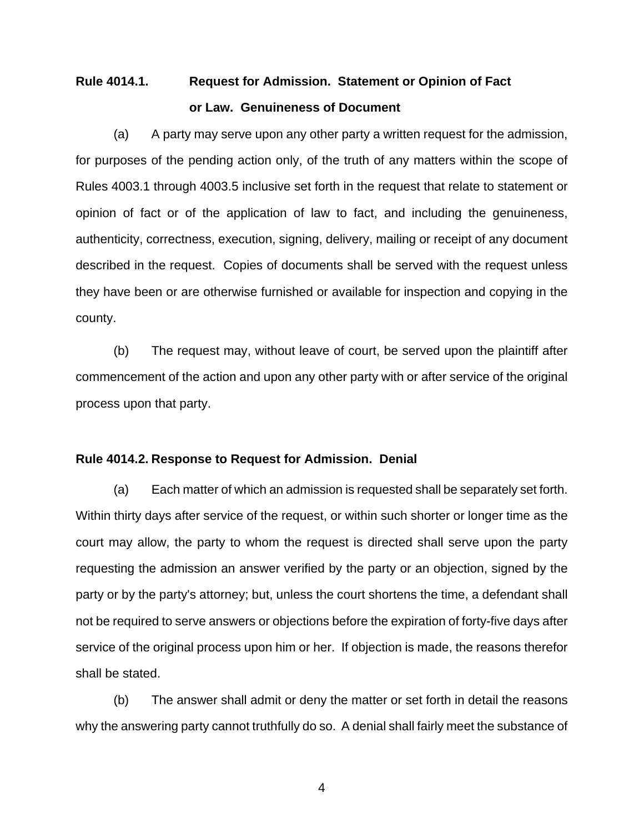## **Rule 4014.1. Request for Admission. Statement or Opinion of Fact or Law. Genuineness of Document**

(a) A party may serve upon any other party a written request for the admission, for purposes of the pending action only, of the truth of any matters within the scope of Rules 4003.1 through 4003.5 inclusive set forth in the request that relate to statement or opinion of fact or of the application of law to fact, and including the genuineness, authenticity, correctness, execution, signing, delivery, mailing or receipt of any document described in the request. Copies of documents shall be served with the request unless they have been or are otherwise furnished or available for inspection and copying in the county.

(b) The request may, without leave of court, be served upon the plaintiff after commencement of the action and upon any other party with or after service of the original process upon that party.

### **Rule 4014.2. Response to Request for Admission. Denial**

(a) Each matter of which an admission is requested shall be separately set forth. Within thirty days after service of the request, or within such shorter or longer time as the court may allow, the party to whom the request is directed shall serve upon the party requesting the admission an answer verified by the party or an objection, signed by the party or by the party's attorney; but, unless the court shortens the time, a defendant shall not be required to serve answers or objections before the expiration of forty-five days after service of the original process upon him or her. If objection is made, the reasons therefor shall be stated.

(b) The answer shall admit or deny the matter or set forth in detail the reasons why the answering party cannot truthfully do so. A denial shall fairly meet the substance of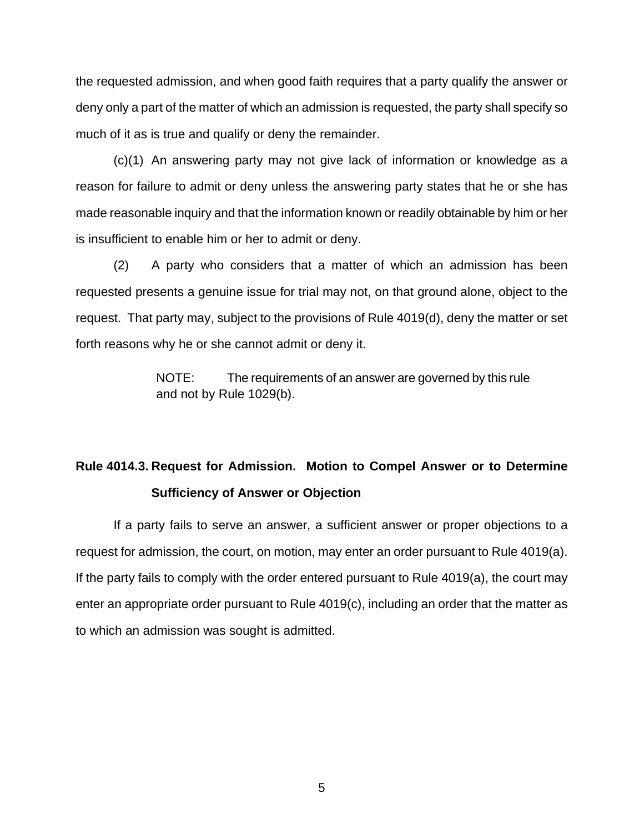the requested admission, and when good faith requires that a party qualify the answer or deny only a part of the matter of which an admission is requested, the party shall specify so much of it as is true and qualify or deny the remainder.

(c)(1) An answering party may not give lack of information or knowledge as a reason for failure to admit or deny unless the answering party states that he or she has made reasonable inquiry and that the information known or readily obtainable by him or her is insufficient to enable him or her to admit or deny.

(2) A party who considers that a matter of which an admission has been requested presents a genuine issue for trial may not, on that ground alone, object to the request. That party may, subject to the provisions of Rule 4019(d), deny the matter or set forth reasons why he or she cannot admit or deny it.

> NOTE: The requirements of an answer are governed by this rule and not by Rule 1029(b).

## **Rule 4014.3. Request for Admission. Motion to Compel Answer or to Determine Sufficiency of Answer or Objection**

 If a party fails to serve an answer, a sufficient answer or proper objections to a request for admission, the court, on motion, may enter an order pursuant to Rule 4019(a). If the party fails to comply with the order entered pursuant to Rule 4019(a), the court may enter an appropriate order pursuant to Rule 4019(c), including an order that the matter as to which an admission was sought is admitted.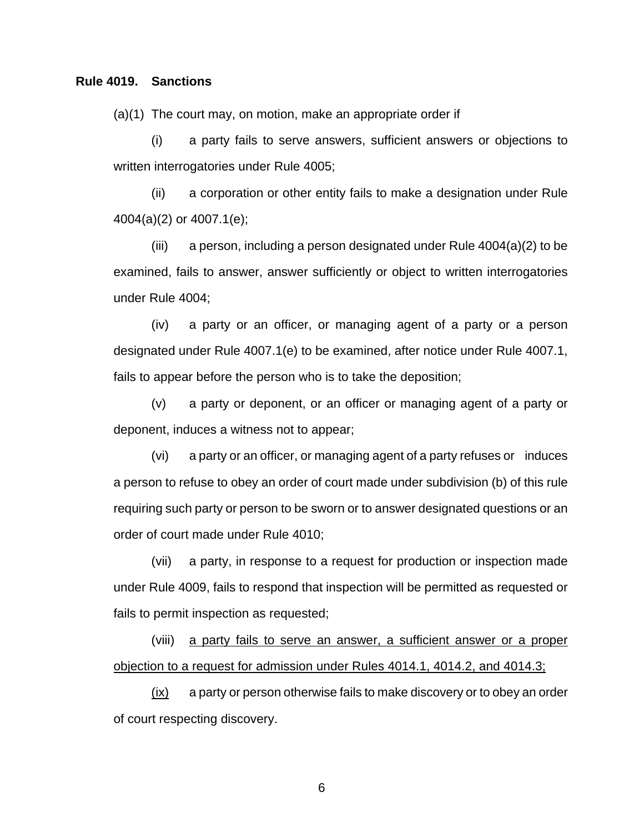### **Rule 4019. Sanctions**

(a)(1) The court may, on motion, make an appropriate order if

(i) a party fails to serve answers, sufficient answers or objections to written interrogatories under Rule 4005;

(ii) a corporation or other entity fails to make a designation under Rule 4004(a)(2) or 4007.1(e);

(iii) a person, including a person designated under Rule  $4004(a)(2)$  to be examined, fails to answer, answer sufficiently or object to written interrogatories under Rule 4004;

(iv) a party or an officer, or managing agent of a party or a person designated under Rule 4007.1(e) to be examined, after notice under Rule 4007.1, fails to appear before the person who is to take the deposition;

(v) a party or deponent, or an officer or managing agent of a party or deponent, induces a witness not to appear;

(vi) a party or an officer, or managing agent of a party refuses or induces a person to refuse to obey an order of court made under subdivision (b) of this rule requiring such party or person to be sworn or to answer designated questions or an order of court made under Rule 4010;

(vii) a party, in response to a request for production or inspection made under Rule 4009, fails to respond that inspection will be permitted as requested or fails to permit inspection as requested;

(viii) a party fails to serve an answer, a sufficient answer or a proper objection to a request for admission under Rules 4014.1, 4014.2, and 4014.3;

(ix) a party or person otherwise fails to make discovery or to obey an order of court respecting discovery.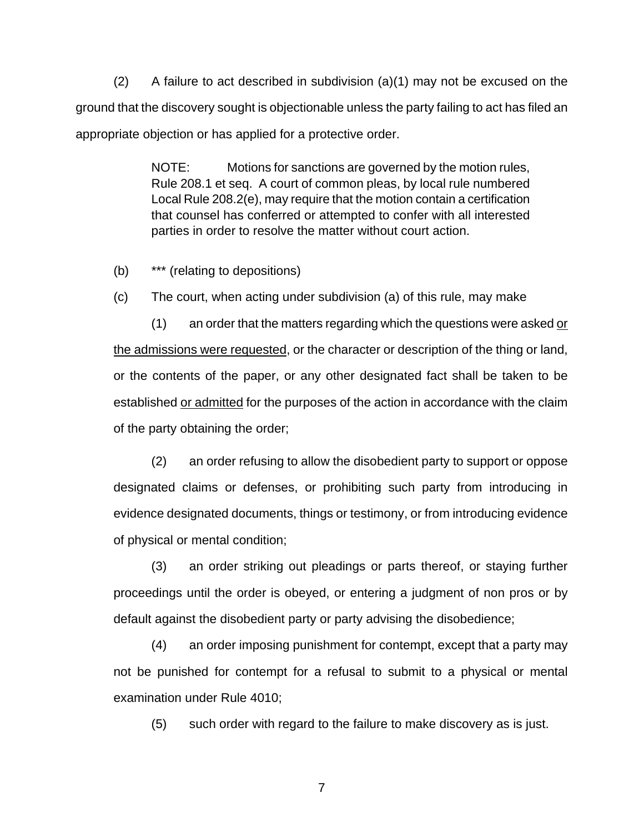$(2)$  A failure to act described in subdivision  $(a)(1)$  may not be excused on the ground that the discovery sought is objectionable unless the party failing to act has filed an appropriate objection or has applied for a protective order.

> NOTE: Motions for sanctions are governed by the motion rules, Rule 208.1 et seq. A court of common pleas, by local rule numbered Local Rule 208.2(e), may require that the motion contain a certification that counsel has conferred or attempted to confer with all interested parties in order to resolve the matter without court action.

(b) \*\*\* (relating to depositions)

(c) The court, when acting under subdivision (a) of this rule, may make

(1) an order that the matters regarding which the questions were asked or the admissions were requested, or the character or description of the thing or land, or the contents of the paper, or any other designated fact shall be taken to be established or admitted for the purposes of the action in accordance with the claim of the party obtaining the order;

(2) an order refusing to allow the disobedient party to support or oppose designated claims or defenses, or prohibiting such party from introducing in evidence designated documents, things or testimony, or from introducing evidence of physical or mental condition;

(3) an order striking out pleadings or parts thereof, or staying further proceedings until the order is obeyed, or entering a judgment of non pros or by default against the disobedient party or party advising the disobedience;

(4) an order imposing punishment for contempt, except that a party may not be punished for contempt for a refusal to submit to a physical or mental examination under Rule 4010;

(5) such order with regard to the failure to make discovery as is just.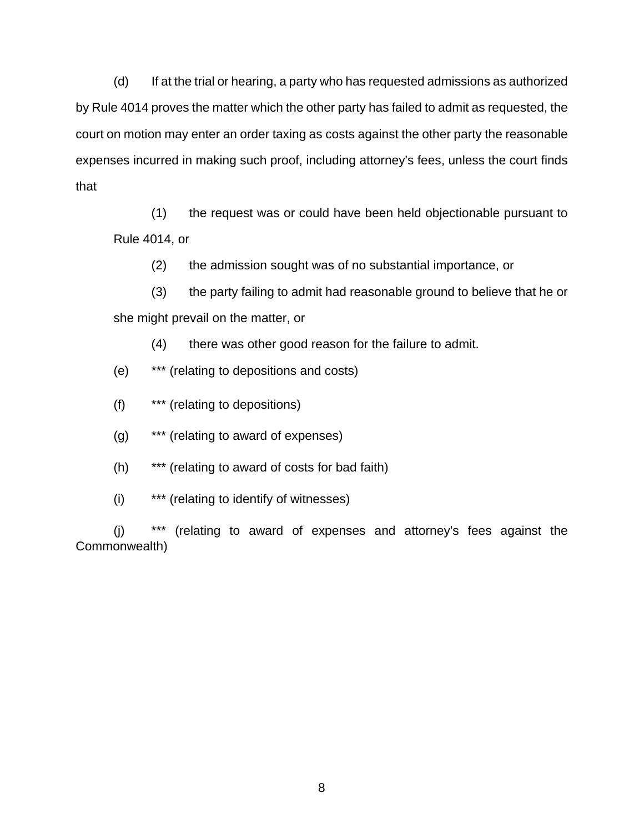(d) If at the trial or hearing, a party who has requested admissions as authorized by Rule 4014 proves the matter which the other party has failed to admit as requested, the court on motion may enter an order taxing as costs against the other party the reasonable expenses incurred in making such proof, including attorney's fees, unless the court finds that

(1) the request was or could have been held objectionable pursuant to Rule 4014, or

(2) the admission sought was of no substantial importance, or

(3) the party failing to admit had reasonable ground to believe that he or she might prevail on the matter, or

(4) there was other good reason for the failure to admit.

- (e) \*\*\* (relating to depositions and costs)
- (f) \*\*\* (relating to depositions)
- (g) \*\*\* (relating to award of expenses)
- (h) \*\*\* (relating to award of costs for bad faith)
- (i) \*\*\* (relating to identify of witnesses)

(j) \*\*\* (relating to award of expenses and attorney's fees against the Commonwealth)